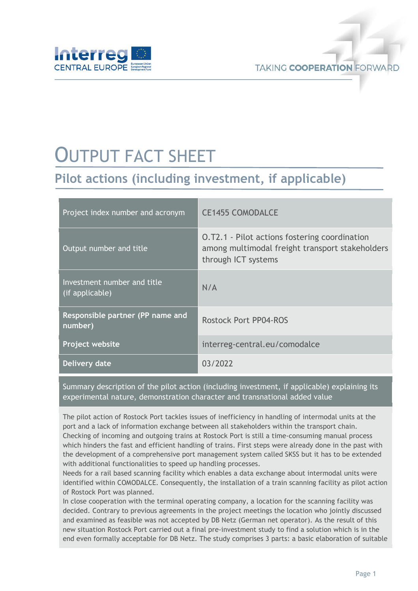

# OUTPUT FACT SHEET

## **Pilot actions (including investment, if applicable)**

| Project index number and acronym               | <b>CE1455 COMODALCE</b>                                                                                                        |
|------------------------------------------------|--------------------------------------------------------------------------------------------------------------------------------|
| Output number and title                        | <b>O.T2.1 - Pilot actions fostering coordination</b><br>among multimodal freight transport stakeholders<br>through ICT systems |
| Investment number and title<br>(if applicable) | N/A                                                                                                                            |
| Responsible partner (PP name and<br>number)    | <b>Rostock Port PP04-ROS</b>                                                                                                   |
| Project website                                | interreg-central.eu/comodalce                                                                                                  |
| Delivery date                                  | 03/2022                                                                                                                        |

Summary description of the pilot action (including investment, if applicable) explaining its experimental nature, demonstration character and transnational added value

The pilot action of Rostock Port tackles issues of inefficiency in handling of intermodal units at the port and a lack of information exchange between all stakeholders within the transport chain. Checking of incoming and outgoing trains at Rostock Port is still a time-consuming manual process which hinders the fast and efficient handling of trains. First steps were already done in the past with the development of a comprehensive port management system called SKSS but it has to be extended with additional functionalities to speed up handling processes.

Needs for a rail based scanning facility which enables a data exchange about intermodal units were identified within COMODALCE. Consequently, the installation of a train scanning facility as pilot action of Rostock Port was planned.

In close cooperation with the terminal operating company, a location for the scanning facility was decided. Contrary to previous agreements in the project meetings the location who jointly discussed and examined as feasible was not accepted by DB Netz (German net operator). As the result of this new situation Rostock Port carried out a final pre-investment study to find a solution which is in the end even formally acceptable for DB Netz. The study comprises 3 parts: a basic elaboration of suitable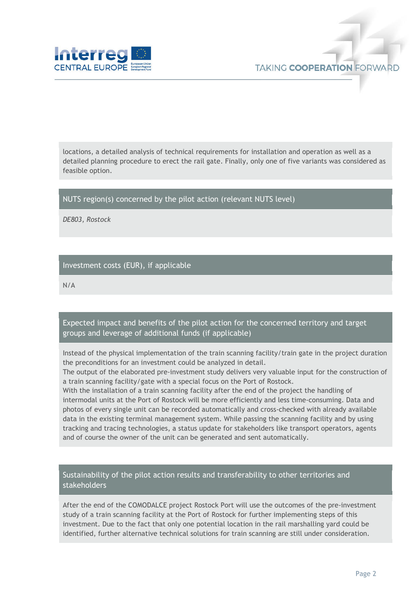

locations, a detailed analysis of technical requirements for installation and operation as well as a detailed planning procedure to erect the rail gate. Finally, only one of five variants was considered as feasible option.

#### NUTS region(s) concerned by the pilot action (relevant NUTS level)

*DE803, Rostock*

#### Investment costs (EUR), if applicable

N/A

#### Expected impact and benefits of the pilot action for the concerned territory and target groups and leverage of additional funds (if applicable)

Instead of the physical implementation of the train scanning facility/train gate in the project duration the preconditions for an investment could be analyzed in detail.

The output of the elaborated pre-investment study delivers very valuable input for the construction of a train scanning facility/gate with a special focus on the Port of Rostock.

With the installation of a train scanning facility after the end of the project the handling of intermodal units at the Port of Rostock will be more efficiently and less time-consuming. Data and photos of every single unit can be recorded automatically and cross-checked with already available data in the existing terminal management system. While passing the scanning facility and by using tracking and tracing technologies, a status update for stakeholders like transport operators, agents and of course the owner of the unit can be generated and sent automatically.

#### Sustainability of the pilot action results and transferability to other territories and stakeholders

After the end of the COMODALCE project Rostock Port will use the outcomes of the pre-investment study of a train scanning facility at the Port of Rostock for further implementing steps of this investment. Due to the fact that only one potential location in the rail marshalling yard could be identified, further alternative technical solutions for train scanning are still under consideration.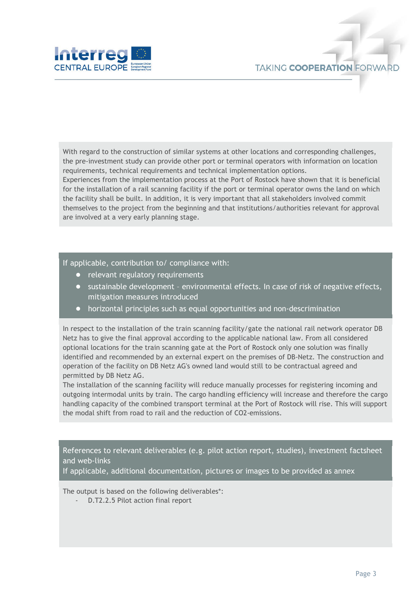

With regard to the construction of similar systems at other locations and corresponding challenges, the pre-investment study can provide other port or terminal operators with information on location requirements, technical requirements and technical implementation options.

Experiences from the implementation process at the Port of Rostock have shown that it is beneficial for the installation of a rail scanning facility if the port or terminal operator owns the land on which the facility shall be built. In addition, it is very important that all stakeholders involved commit themselves to the project from the beginning and that institutions/authorities relevant for approval are involved at a very early planning stage.

#### If applicable, contribution to/ compliance with:

- relevant regulatory requirements
- sustainable development environmental effects. In case of risk of negative effects, mitigation measures introduced
- horizontal principles such as equal opportunities and non-descrimination

In respect to the installation of the train scanning facility/gate the national rail network operator DB Netz has to give the final approval according to the applicable national law. From all considered optional locations for the train scanning gate at the Port of Rostock only one solution was finally identified and recommended by an external expert on the premises of DB-Netz. The construction and operation of the facility on DB Netz AG's owned land would still to be contractual agreed and permitted by DB Netz AG.

The installation of the scanning facility will reduce manually processes for registering incoming and outgoing intermodal units by train. The cargo handling efficiency will increase and therefore the cargo handling capacity of the combined transport terminal at the Port of Rostock will rise. This will support the modal shift from road to rail and the reduction of CO2-emissions.

References to relevant deliverables (e.g. pilot action report, studies), investment factsheet and web-links

If applicable, additional documentation, pictures or images to be provided as annex

The output is based on the following deliverables\*:

D.T2.2.5 Pilot action final report